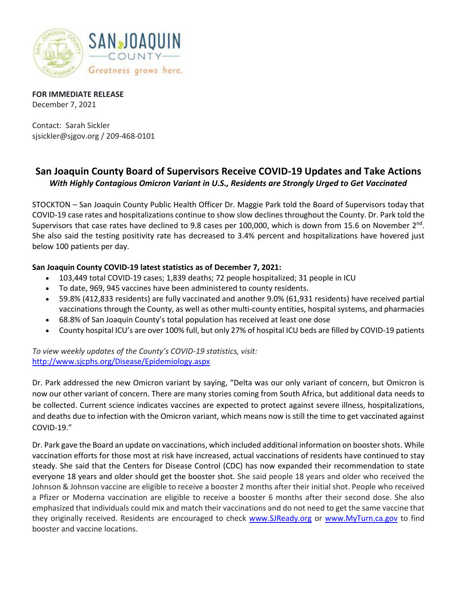

**FOR IMMEDIATE RELEASE** December 7, 2021

Contact: Sarah Sickler sjsickler@sjgov.org / 209-468-0101

## **San Joaquin County Board of Supervisors Receive COVID-19 Updates and Take Actions** *With Highly Contagious Omicron Variant in U.S., Residents are Strongly Urged to Get Vaccinated*

STOCKTON – San Joaquin County Public Health Officer Dr. Maggie Park told the Board of Supervisors today that COVID-19 case rates and hospitalizations continue to show slow declines throughout the County. Dr. Park told the Supervisors that case rates have declined to 9.8 cases per 100,000, which is down from 15.6 on November 2<sup>nd</sup>. She also said the testing positivity rate has decreased to 3.4% percent and hospitalizations have hovered just below 100 patients per day.

## **San Joaquin County COVID-19 latest statistics as of December 7, 2021:**

- 103,449 total COVID-19 cases; 1,839 deaths; 72 people hospitalized; 31 people in ICU
- To date, 969, 945 vaccines have been administered to county residents.
- 59.8% (412,833 residents) are fully vaccinated and another 9.0% (61,931 residents) have received partial vaccinations through the County, as well as other multi-county entities, hospital systems, and pharmacies
- 68.8% of San Joaquin County's total population has received at least one dose
- County hospital ICU's are over 100% full, but only 27% of hospital ICU beds are filled by COVID-19 patients

*To view weekly updates of the County's COVID-19 statistics, visit:*  <http://www.sjcphs.org/Disease/Epidemiology.aspx>

Dr. Park addressed the new Omicron variant by saying, "Delta was our only variant of concern, but Omicron is now our other variant of concern. There are many stories coming from South Africa, but additional data needs to be collected. Current science indicates vaccines are expected to protect against severe illness, hospitalizations, and deaths due to infection with the Omicron variant, which means now is still the time to get vaccinated against COVID-19."

Dr. Park gave the Board an update on vaccinations, which included additional information on booster shots. While vaccination efforts for those most at risk have increased, actual vaccinations of residents have continued to stay steady. She said that the Centers for Disease Control (CDC) has now expanded their recommendation to state everyone 18 years and older should get the booster shot. She said people 18 years and older who received the Johnson & Johnson vaccine are eligible to receive a booster 2 months after their initial shot. People who received a Pfizer or Moderna vaccination are eligible to receive a booster 6 months after their second dose. She also emphasized that individuals could mix and match their vaccinations and do not need to get the same vaccine that they originally received. Residents are encouraged to check [www.SJReady.org](http://www.sjready.org/) or [www.MyTurn.ca.gov](http://www.myturn.ca.gov/) to find booster and vaccine locations.